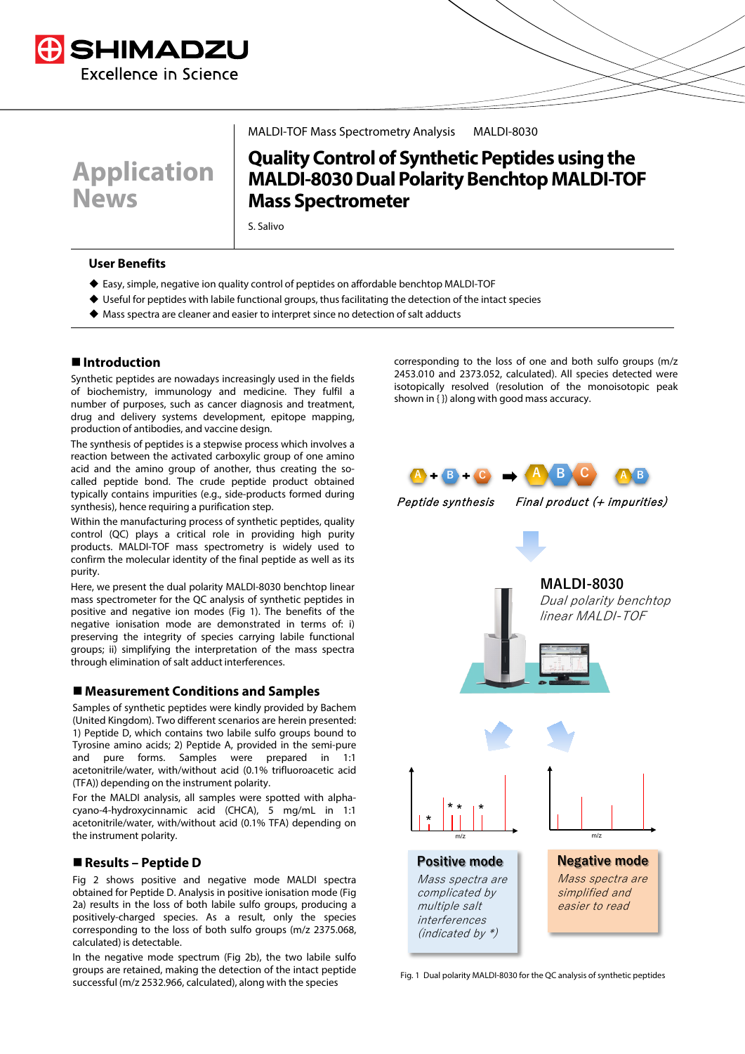



MALDI-TOF Mass Spectrometry Analysis MALDI-8030

# **Quality Control of Synthetic Peptides using the MALDI-8030 Dual Polarity Benchtop MALDI-TOF Mass Spectrometer**

S. Salivo

#### **User Benefits**

- Easy, simple, negative ion quality control of peptides on affordable benchtop MALDI-TOF
- Useful for peptides with labile functional groups, thus facilitating the detection of the intact species
- $\blacklozenge$  Mass spectra are cleaner and easier to interpret since no detection of salt adducts

# **Introduction**

Synthetic peptides are nowadays increasingly used in the fields of biochemistry, immunology and medicine. They fulfil a number of purposes, such as cancer diagnosis and treatment, drug and delivery systems development, epitope mapping, production of antibodies, and vaccine design.

The synthesis of peptides is a stepwise process which involves a reaction between the activated carboxylic group of one amino acid and the amino group of another, thus creating the socalled peptide bond. The crude peptide product obtained typically contains impurities (e.g., side-products formed during synthesis), hence requiring a purification step.

Within the manufacturing process of synthetic peptides, quality control (QC) plays a critical role in providing high purity products. MALDI-TOF mass spectrometry is widely used to confirm the molecular identity of the final peptide as well as its purity.

Here, we present the dual polarity MALDI-8030 benchtop linear mass spectrometer for the QC analysis of synthetic peptides in positive and negative ion modes (Fig 1). The benefits of the negative ionisation mode are demonstrated in terms of: i) preserving the integrity of species carrying labile functional groups; ii) simplifying the interpretation of the mass spectra through elimination of salt adduct interferences.

### **Measurement Conditions and Samples**

Samples of synthetic peptides were kindly provided by Bachem (United Kingdom). Two different scenarios are herein presented: 1) Peptide D, which contains two labile sulfo groups bound to Tyrosine amino acids; 2) Peptide A, provided in the semi-pure and pure forms. Samples were prepared in acetonitrile/water, with/without acid (0.1% trifluoroacetic acid (TFA)) depending on the instrument polarity.

For the MALDI analysis, all samples were spotted with alphacyano-4-hydroxycinnamic acid (CHCA), 5 mg/mL in 1:1 acetonitrile/water, with/without acid (0.1% TFA) depending on the instrument polarity.

### **Results – Peptide D**

Fig 2 shows positive and negative mode MALDI spectra obtained for Peptide D. Analysis in positive ionisation mode (Fig 2a) results in the loss of both labile sulfo groups, producing a positively-charged species. As a result, only the species corresponding to the loss of both sulfo groups (m/z 2375.068, calculated) is detectable.

In the negative mode spectrum (Fig 2b), the two labile sulfo groups are retained, making the detection of the intact peptide successful (m/z 2532.966, calculated), along with the species

corresponding to the loss of one and both sulfo groups (m/z 2453.010 and 2373.052, calculated). All species detected were isotopically resolved (resolution of the monoisotopic peak shown in { }) along with good mass accuracy.



Peptide synthesis Final product (+ impurities)



Fig. 1 Dual polarity MALDI-8030 for the QC analysis of synthetic peptides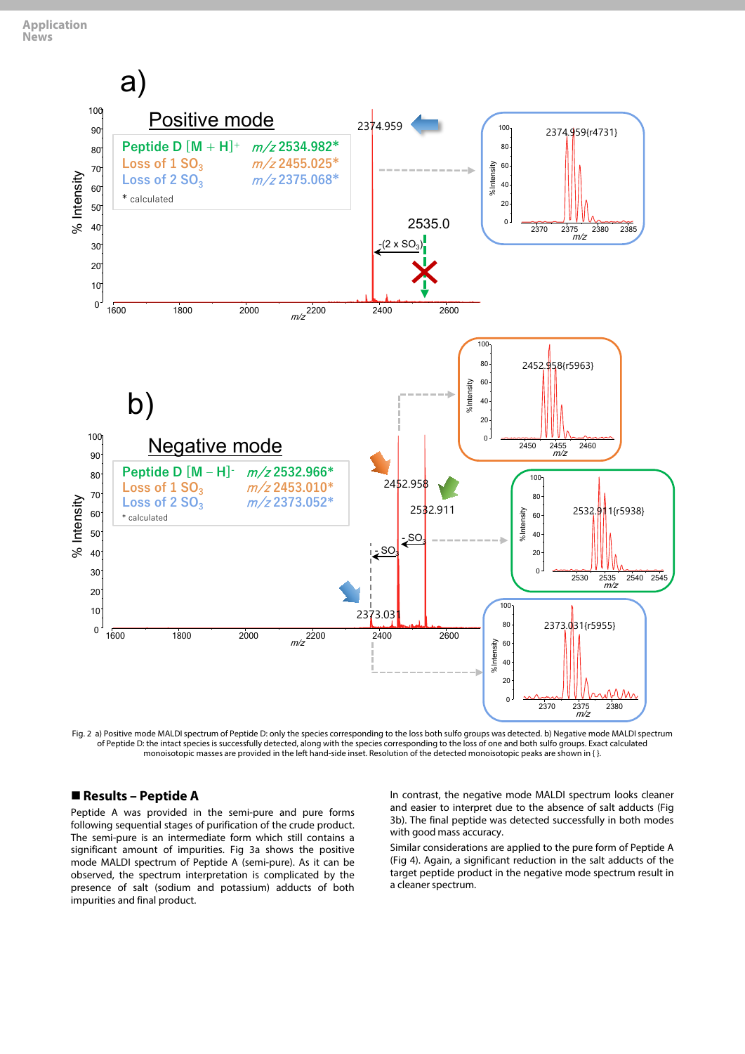

Fig. 2 a) Positive mode MALDI spectrum of Peptide D: only the species corresponding to the loss both sulfo groups was detected. b) Negative mode MALDI spectrum of Peptide D: the intact species is successfully detected, along with the species corresponding to the loss of one and both sulfo groups. Exact calculated monoisotopic masses are provided in the left hand-side inset. Resolution of the detected monoisotopic peaks are shown in { }.

#### **Results – Peptide A**

Peptide A was provided in the semi-pure and pure forms following sequential stages of purification of the crude product. The semi-pure is an intermediate form which still contains a significant amount of impurities. Fig 3a shows the positive mode MALDI spectrum of Peptide A (semi-pure). As it can be observed, the spectrum interpretation is complicated by the presence of salt (sodium and potassium) adducts of both impurities and final product.

In contrast, the negative mode MALDI spectrum looks cleaner and easier to interpret due to the absence of salt adducts (Fig 3b). The final peptide was detected successfully in both modes with good mass accuracy.

Similar considerations are applied to the pure form of Peptide A (Fig 4). Again, a significant reduction in the salt adducts of the target peptide product in the negative mode spectrum result in a cleaner spectrum.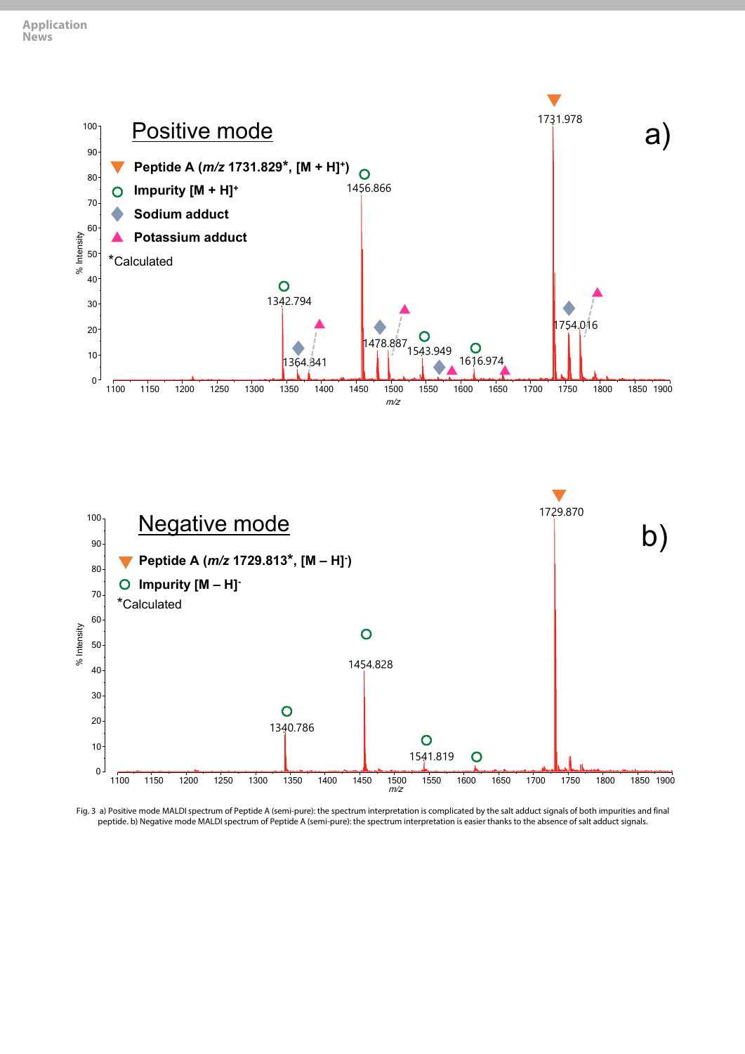



Fig. 3 a) Positive mode MALDI spectrum of Peptide A (semi-pure): the spectrum interpretation is complicated by the salt adduct signals of both impurities and final peptide. b) Negative mode MALDI spectrum of Peptide A (semi-pure): the spectrum interpretation is easier thanks to the absence of salt adduct signals.